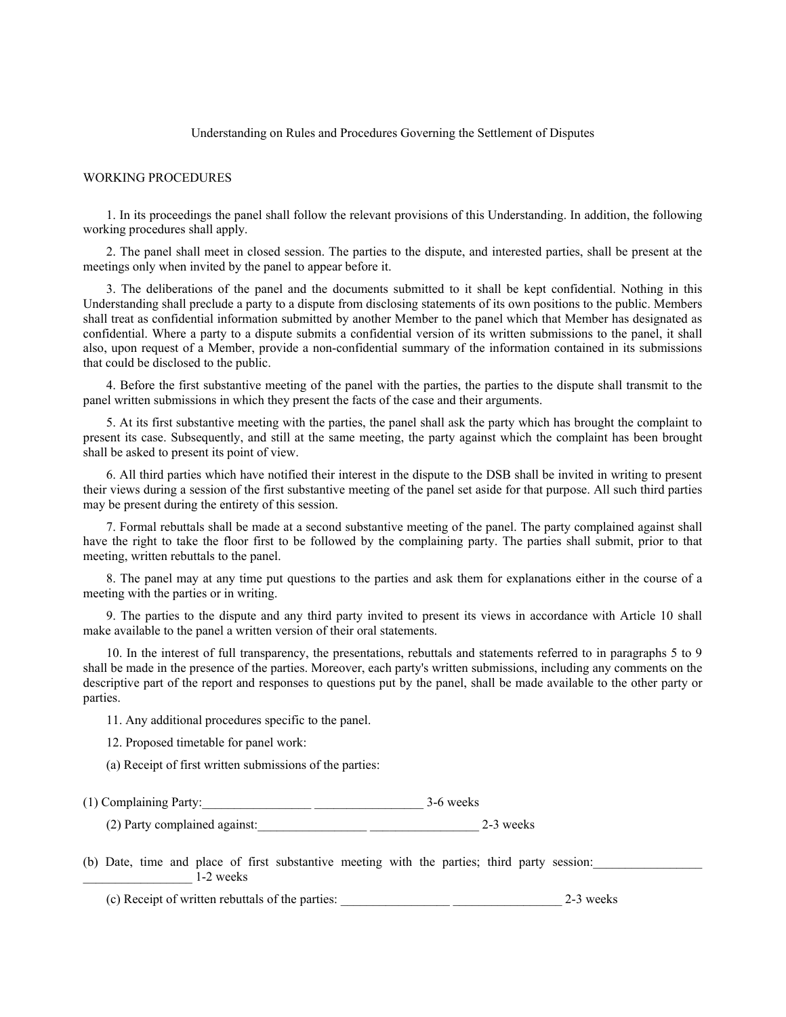## Understanding on Rules and Procedures Governing the Settlement of Disputes

## WORKING PROCEDURES

1. In its proceedings the panel shall follow the relevant provisions of this Understanding. In addition, the following working procedures shall apply.

2. The panel shall meet in closed session. The parties to the dispute, and interested parties, shall be present at the meetings only when invited by the panel to appear before it.

3. The deliberations of the panel and the documents submitted to it shall be kept confidential. Nothing in this Understanding shall preclude a party to a dispute from disclosing statements of its own positions to the public. Members shall treat as confidential information submitted by another Member to the panel which that Member has designated as confidential. Where a party to a dispute submits a confidential version of its written submissions to the panel, it shall also, upon request of a Member, provide a non-confidential summary of the information contained in its submissions that could be disclosed to the public.

4. Before the first substantive meeting of the panel with the parties, the parties to the dispute shall transmit to the panel written submissions in which they present the facts of the case and their arguments.

5. At its first substantive meeting with the parties, the panel shall ask the party which has brought the complaint to present its case. Subsequently, and still at the same meeting, the party against which the complaint has been brought shall be asked to present its point of view.

6. All third parties which have notified their interest in the dispute to the DSB shall be invited in writing to present their views during a session of the first substantive meeting of the panel set aside for that purpose. All such third parties may be present during the entirety of this session.

7. Formal rebuttals shall be made at a second substantive meeting of the panel. The party complained against shall have the right to take the floor first to be followed by the complaining party. The parties shall submit, prior to that meeting, written rebuttals to the panel.

8. The panel may at any time put questions to the parties and ask them for explanations either in the course of a meeting with the parties or in writing.

9. The parties to the dispute and any third party invited to present its views in accordance with Article 10 shall make available to the panel a written version of their oral statements.

10. In the interest of full transparency, the presentations, rebuttals and statements referred to in paragraphs 5 to 9 shall be made in the presence of the parties. Moreover, each party's written submissions, including any comments on the descriptive part of the report and responses to questions put by the panel, shall be made available to the other party or parties.

11. Any additional procedures specific to the panel.

12. Proposed timetable for panel work:

(a) Receipt of first written submissions of the parties:

(1) Complaining Party:\_\_\_\_\_\_\_\_\_\_\_\_\_\_\_\_\_ \_\_\_\_\_\_\_\_\_\_\_\_\_\_\_\_\_ 3-6 weeks

(2) Party complained against:\_\_\_\_\_\_\_\_\_\_\_\_\_\_\_\_\_ \_\_\_\_\_\_\_\_\_\_\_\_\_\_\_\_\_ 2-3 weeks

(b) Date, time and place of first substantive meeting with the parties; third party session:  $1-2$  weeks

(c) Receipt of written rebuttals of the parties: \_\_\_\_\_\_\_\_\_\_\_\_\_\_\_\_\_ \_\_\_\_\_\_\_\_\_\_\_\_\_\_\_\_\_ 2-3 weeks